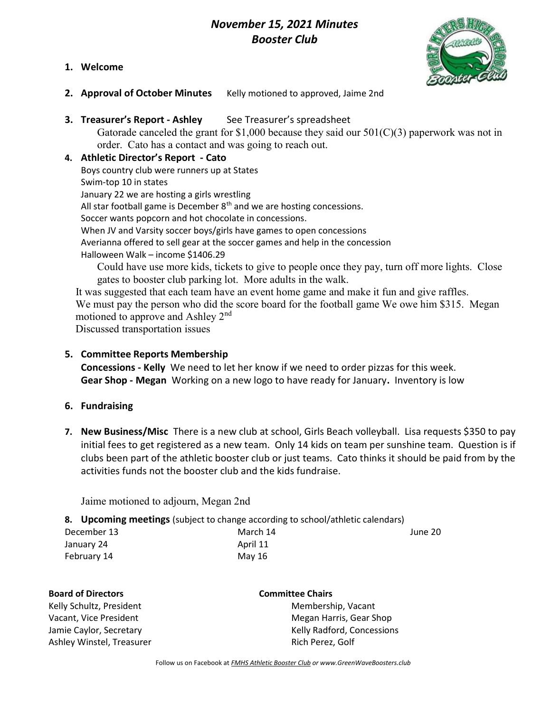## November 15, 2021 Minutes Booster Club





- 2. Approval of October Minutes Kelly motioned to approved, Jaime 2nd
- 3. Treasurer's Report Ashley See Treasurer's spreadsheet
	- Gatorade canceled the grant for \$1,000 because they said our  $501(C)(3)$  paperwork was not in order. Cato has a contact and was going to reach out.
- 4. Athletic Director's Report Cato Boys country club were runners up at States Swim-top 10 in states January 22 we are hosting a girls wrestling All star football game is December  $8<sup>th</sup>$  and we are hosting concessions. Soccer wants popcorn and hot chocolate in concessions. When JV and Varsity soccer boys/girls have games to open concessions Averianna offered to sell gear at the soccer games and help in the concession Halloween Walk – income \$1406.29 Could have use more kids, tickets to give to people once they pay, turn off more lights. Close gates to booster club parking lot. More adults in the walk. It was suggested that each team have an event home game and make it fun and give raffles.

We must pay the person who did the score board for the football game We owe him \$315. Megan motioned to approve and Ashley 2nd

Discussed transportation issues

## 5. Committee Reports Membership

Concessions - Kelly We need to let her know if we need to order pizzas for this week. Gear Shop - Megan Working on a new logo to have ready for January. Inventory is low

- 6. Fundraising
- 7. New Business/Misc There is a new club at school, Girls Beach volleyball. Lisa requests \$350 to pay initial fees to get registered as a new team. Only 14 kids on team per sunshine team. Question is if clubs been part of the athletic booster club or just teams. Cato thinks it should be paid from by the activities funds not the booster club and the kids fundraise.

Jaime motioned to adjourn, Megan 2nd

8. Upcoming meetings (subject to change according to school/athletic calendars)

| March 14 | June 20 |
|----------|---------|
| April 11 |         |
| May 16   |         |
|          |         |

| <b>Board of Directors</b> |
|---------------------------|
| Kelly Schultz, President  |
| Vacant, Vice President    |
| Jamie Caylor, Secretary   |
| Ashley Winstel, Treasurer |

## d of Directors **Committee Chairs**

Membership, Vacant Megan Harris, Gear Shop Kelly Radford, Concessions Rich Perez, Golf